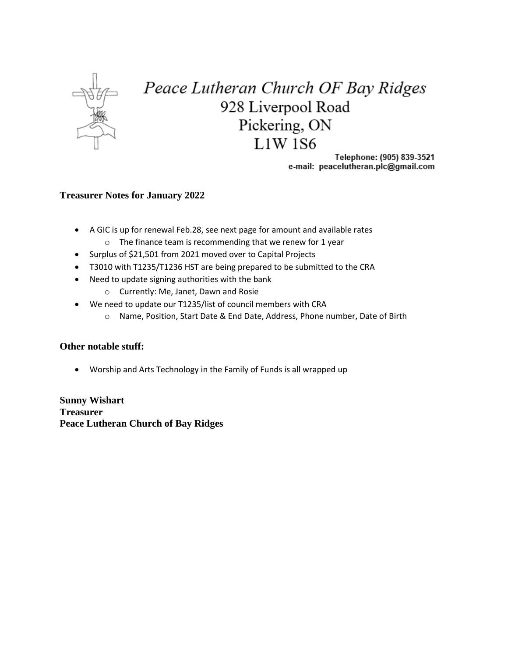

## Peace Lutheran Church OF Bay Ridges 928 Liverpool Road Pickering, ON **L1W1S6**

Telephone: (905) 839-3521 e-mail: peacelutheran.plc@gmail.com

## **Treasurer Notes for January 2022**

- A GIC is up for renewal Feb.28, see next page for amount and available rates
	- $\circ$  The finance team is recommending that we renew for 1 year
- Surplus of \$21,501 from 2021 moved over to Capital Projects
- T3010 with T1235/T1236 HST are being prepared to be submitted to the CRA
- Need to update signing authorities with the bank
	- o Currently: Me, Janet, Dawn and Rosie
- We need to update our T1235/list of council members with CRA
	- o Name, Position, Start Date & End Date, Address, Phone number, Date of Birth

## **Other notable stuff:**

• Worship and Arts Technology in the Family of Funds is all wrapped up

**Sunny Wishart Treasurer Peace Lutheran Church of Bay Ridges**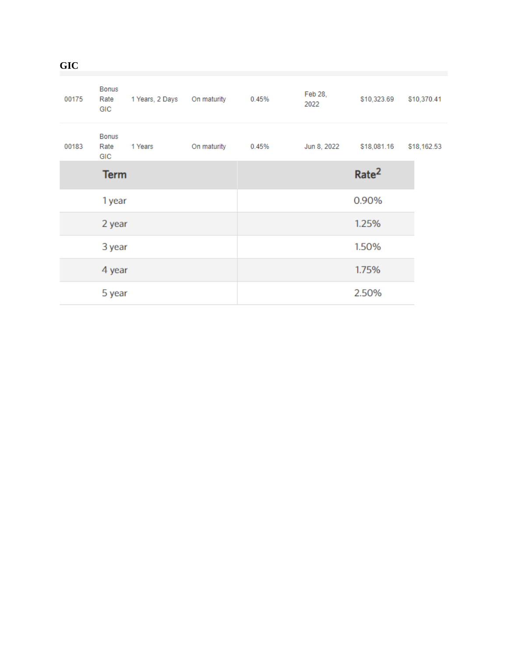| <b>GIC</b> |  |  |  |
|------------|--|--|--|
|            |  |  |  |

| 00175 | <b>Bonus</b><br>Rate<br>GIC | 1 Years, 2 Days | On maturity | 0.45% | Feb 28,<br>2022 | \$10,323.69       | \$10,370.41 |
|-------|-----------------------------|-----------------|-------------|-------|-----------------|-------------------|-------------|
| 00183 | Bonus<br>Rate<br>GIC        | 1 Years         | On maturity | 0.45% | Jun 8, 2022     | \$18,081.16       | \$18,162.53 |
|       | <b>Term</b>                 |                 |             |       |                 | Rate <sup>2</sup> |             |
|       | 1 year                      |                 |             |       |                 | 0.90%             |             |
|       | 2 year                      |                 |             |       |                 | 1.25%             |             |
|       | 3 year                      |                 |             |       |                 | 1.50%             |             |
|       | 4 year                      |                 |             |       |                 | 1.75%             |             |
|       | 5 year                      |                 |             |       |                 | 2.50%             |             |